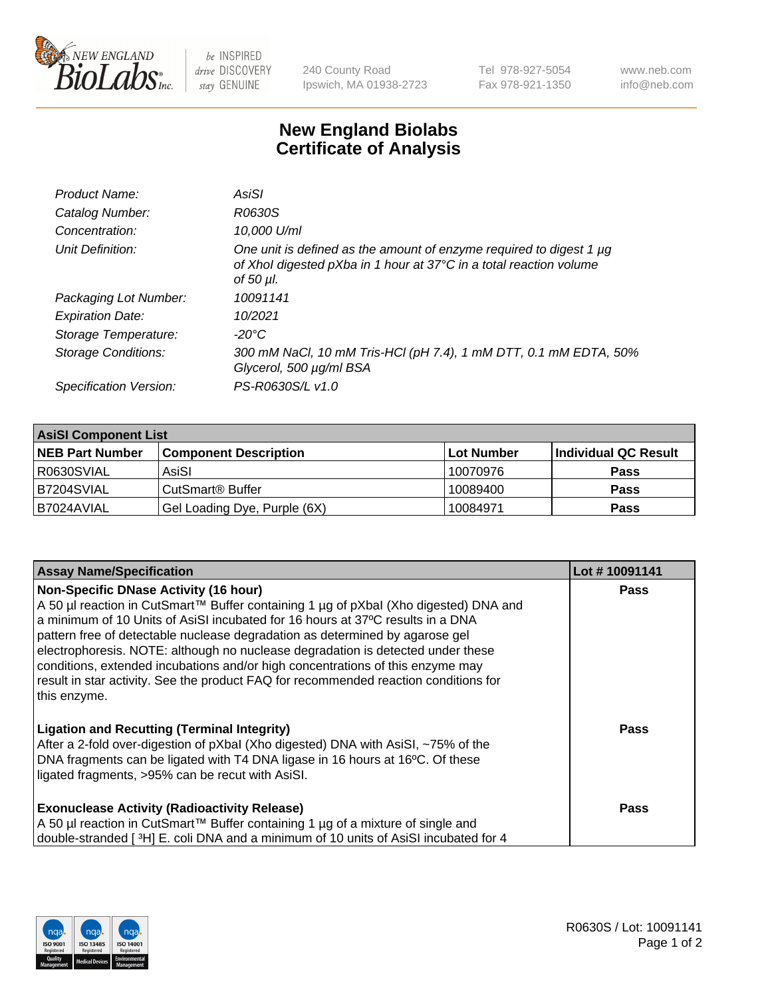

 $be$  INSPIRED drive DISCOVERY stay GENUINE

240 County Road Ipswich, MA 01938-2723 Tel 978-927-5054 Fax 978-921-1350 www.neb.com info@neb.com

## **New England Biolabs Certificate of Analysis**

| Product Name:              | AsiSI                                                                                                                                                  |
|----------------------------|--------------------------------------------------------------------------------------------------------------------------------------------------------|
| Catalog Number:            | R0630S                                                                                                                                                 |
| Concentration:             | 10,000 U/ml                                                                                                                                            |
| Unit Definition:           | One unit is defined as the amount of enzyme required to digest 1 µg<br>of Xhol digested pXba in 1 hour at 37°C in a total reaction volume<br>of 50 µl. |
| Packaging Lot Number:      | 10091141                                                                                                                                               |
| <b>Expiration Date:</b>    | 10/2021                                                                                                                                                |
| Storage Temperature:       | -20°C                                                                                                                                                  |
| <b>Storage Conditions:</b> | 300 mM NaCl, 10 mM Tris-HCl (pH 7.4), 1 mM DTT, 0.1 mM EDTA, 50%<br>Glycerol, 500 µg/ml BSA                                                            |
| Specification Version:     | PS-R0630S/L v1.0                                                                                                                                       |
|                            |                                                                                                                                                        |

| <b>AsiSI Component List</b> |                              |            |                      |  |  |
|-----------------------------|------------------------------|------------|----------------------|--|--|
| <b>NEB Part Number</b>      | <b>Component Description</b> | Lot Number | Individual QC Result |  |  |
| R0630SVIAL                  | AsiSI                        | 10070976   | <b>Pass</b>          |  |  |
| IB7204SVIAL                 | CutSmart® Buffer             | 10089400   | <b>Pass</b>          |  |  |
| B7024AVIAL                  | Gel Loading Dye, Purple (6X) | 10084971   | <b>Pass</b>          |  |  |

| <b>Assay Name/Specification</b>                                                                                                                                                                                                                                                                                                                                                                                                                                                                                                                                                     | Lot #10091141 |
|-------------------------------------------------------------------------------------------------------------------------------------------------------------------------------------------------------------------------------------------------------------------------------------------------------------------------------------------------------------------------------------------------------------------------------------------------------------------------------------------------------------------------------------------------------------------------------------|---------------|
| <b>Non-Specific DNase Activity (16 hour)</b><br>A 50 µl reaction in CutSmart™ Buffer containing 1 µg of pXbal (Xho digested) DNA and<br>a minimum of 10 Units of AsiSI incubated for 16 hours at 37°C results in a DNA<br>pattern free of detectable nuclease degradation as determined by agarose gel<br>electrophoresis. NOTE: although no nuclease degradation is detected under these<br>conditions, extended incubations and/or high concentrations of this enzyme may<br>result in star activity. See the product FAQ for recommended reaction conditions for<br>this enzyme. | <b>Pass</b>   |
| <b>Ligation and Recutting (Terminal Integrity)</b><br>After a 2-fold over-digestion of pXbal (Xho digested) DNA with AsiSI, ~75% of the<br>DNA fragments can be ligated with T4 DNA ligase in 16 hours at 16°C. Of these<br>ligated fragments, >95% can be recut with AsiSI.                                                                                                                                                                                                                                                                                                        | <b>Pass</b>   |
| <b>Exonuclease Activity (Radioactivity Release)</b><br>A 50 µl reaction in CutSmart™ Buffer containing 1 µg of a mixture of single and<br>double-stranded [3H] E. coli DNA and a minimum of 10 units of AsiSI incubated for 4                                                                                                                                                                                                                                                                                                                                                       | <b>Pass</b>   |